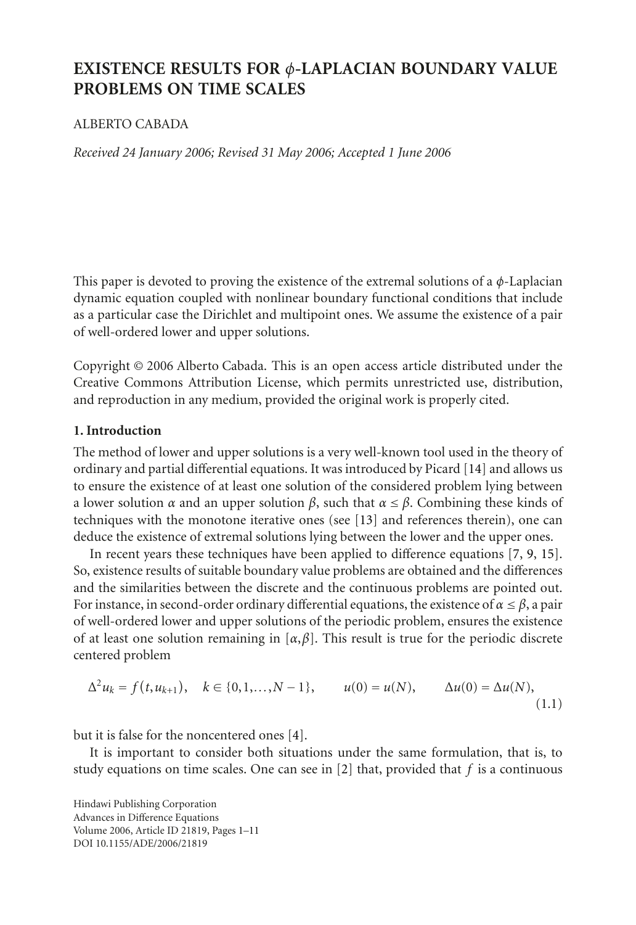# **EXISTENCE RESULTS FOR** *φ***-LAPLACIAN BOUNDARY VALUE PROBLEMS ON TIME SCALES**

## ALBERTO CABADA

*Received 24 January 2006; Revised 31 May 2006; Accepted 1 June 2006*

This paper is devoted to proving the existence of the extremal solutions of a *φ*-Laplacian dynamic equation coupled with nonlinear boundary functional conditions that include as a particular case the Dirichlet and multipoint ones. We assume the existence of a pair of well-ordered lower and upper solutions.

Copyright © 2006 Alberto Cabada. This is an open access article distributed under the Creative Commons Attribution License, which permits unrestricted use, distribution, and reproduction in any medium, provided the original work is properly cited.

# **1. Introduction**

The method of lower and upper solutions is a very well-known tool used in the theory of ordinary and partial differential equations. It was introduced by Picard [\[14](#page-10-0)] and allows us to ensure the existence of at least one solution of the considered problem lying between a lower solution  $\alpha$  and an upper solution  $\beta$ , such that  $\alpha \leq \beta$ . Combining these kinds of techniques with the monotone iterative ones (see [\[13](#page-10-1)] and references therein), one can deduce the existence of extremal solutions lying between the lower and the upper ones.

In recent years these techniques have been applied to difference equations [\[7](#page-9-0), [9,](#page-9-1) [15\]](#page-10-2). So, existence results of suitable boundary value problems are obtained and the differences and the similarities between the discrete and the continuous problems are pointed out. For instance, in second-order ordinary differential equations, the existence of  $\alpha \leq \beta$ , a pair of well-ordered lower and upper solutions of the periodic problem, ensures the existence of at least one solution remaining in  $[\alpha, \beta]$ . This result is true for the periodic discrete centered problem

$$
\Delta^2 u_k = f(t, u_{k+1}), \quad k \in \{0, 1, ..., N-1\}, \qquad u(0) = u(N), \qquad \Delta u(0) = \Delta u(N), \tag{1.1}
$$

but it is false for the noncentered ones [\[4](#page-9-2)].

It is important to consider both situations under the same formulation, that is, to study equations on time scales. One can see in [\[2](#page-9-3)] that, provided that *f* is a continuous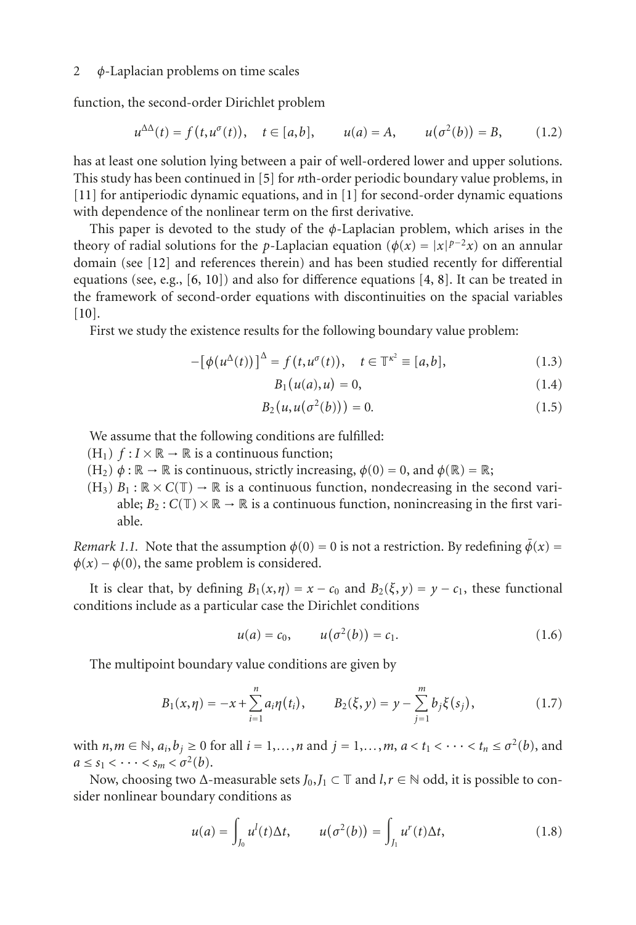function, the second-order Dirichlet problem

$$
u^{\Delta\Delta}(t) = f(t, u^{\sigma}(t)), \quad t \in [a, b], \qquad u(a) = A, \qquad u(\sigma^2(b)) = B,
$$
 (1.2)

has at least one solution lying between a pair of well-ordered lower and upper solutions. This study has been continued in [\[5\]](#page-9-5) for *n*th-order periodic boundary value problems, in [\[11\]](#page-10-3) for antiperiodic dynamic equations, and in [\[1\]](#page-9-6) for second-order dynamic equations with dependence of the nonlinear term on the first derivative.

This paper is devoted to the study of the *φ*-Laplacian problem, which arises in the theory of radial solutions for the *p*-Laplacian equation ( $\phi(x) = |x|^{p-2}x$ ) on an annular domain (see [\[12\]](#page-10-4) and references therein) and has been studied recently for differential equations (see, e.g.,  $[6, 10]$  $[6, 10]$  $[6, 10]$ ) and also for difference equations  $[4, 8]$  $[4, 8]$  $[4, 8]$ . It can be treated in the framework of second-order equations with discontinuities on the spacial variables [\[10\]](#page-10-5).

First we study the existence results for the following boundary value problem:

$$
-[\phi(u^{\Delta}(t))]^{\Delta} = f(t, u^{\sigma}(t)), \quad t \in \mathbb{T}^{\kappa^2} \equiv [a, b], \tag{1.3}
$$

<span id="page-1-2"></span><span id="page-1-1"></span><span id="page-1-0"></span>
$$
B_1(u(a), u) = 0,
$$
\n(1.4)

$$
B_2(u, u(\sigma^2(b))) = 0.
$$
 (1.5)

We assume that the following conditions are fulfilled:

- $(H_1)$   $f: I \times \mathbb{R} \to \mathbb{R}$  is a continuous function;
- $(H_2)$   $\phi : \mathbb{R} \to \mathbb{R}$  is continuous, strictly increasing,  $\phi(0) = 0$ , and  $\phi(\mathbb{R}) = \mathbb{R}$ ;
- $(H_3)$   $B_1 : \mathbb{R} \times C(\mathbb{T}) \to \mathbb{R}$  is a continuous function, nondecreasing in the second variable;  $B_2$ :  $C(\mathbb{T}) \times \mathbb{R} \to \mathbb{R}$  is a continuous function, nonincreasing in the first variable.

*Remark 1.1.* Note that the assumption  $\phi(0) = 0$  is not a restriction. By redefining  $\bar{\phi}(x) =$  $\phi(x) - \phi(0)$ , the same problem is considered.

It is clear that, by defining  $B_1(x, \eta) = x - c_0$  and  $B_2(\xi, \gamma) = \gamma - c_1$ , these functional conditions include as a particular case the Dirichlet conditions

$$
u(a) = c_0, \qquad u(\sigma^2(b)) = c_1. \tag{1.6}
$$

The multipoint boundary value conditions are given by

$$
B_1(x,\eta) = -x + \sum_{i=1}^n a_i \eta(t_i), \qquad B_2(\xi, y) = y - \sum_{j=1}^m b_j \xi(s_j), \qquad (1.7)
$$

with  $n, m \in \mathbb{N}$ ,  $a_i, b_j \ge 0$  for all  $i = 1, \ldots, n$  and  $j = 1, \ldots, m$ ,  $a < t_1 < \cdots < t_n \le \sigma^2(b)$ , and  $a \leq s_1 < \cdots < s_m < \sigma^2(b).$ 

Now, choosing two  $\Delta$ -measurable sets  $J_0, J_1 \subset \mathbb{T}$  and  $l, r \in \mathbb{N}$  odd, it is possible to consider nonlinear boundary conditions as

$$
u(a) = \int_{J_0} u^l(t)\Delta t, \qquad u(\sigma^2(b)) = \int_{J_1} u^r(t)\Delta t,
$$
 (1.8)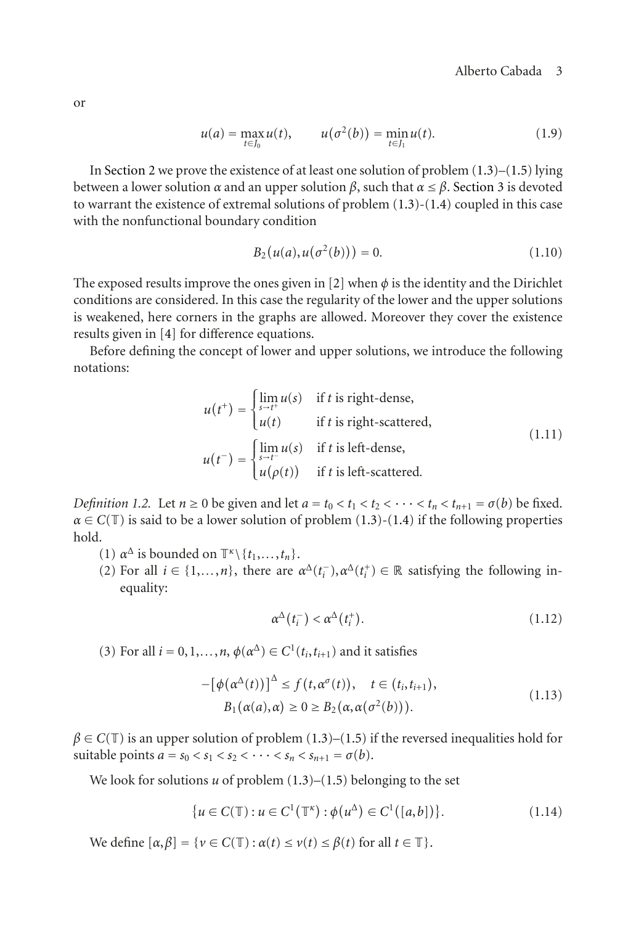$$
u(a) = \max_{t \in J_0} u(t), \qquad u(\sigma^2(b)) = \min_{t \in J_1} u(t). \tag{1.9}
$$

In [Section 2](#page-3-0) we prove the existence of at least one solution of problem [\(1.3\)](#page-1-0)–[\(1.5\)](#page-1-1) lying between a lower solution *α* and an upper solution *β*, such that *α* <sup>≤</sup> *<sup>β</sup>*. [Section 3](#page-7-0) is devoted to warrant the existence of extremal solutions of problem  $(1.3)-(1.4)$  $(1.3)-(1.4)$  $(1.3)-(1.4)$  coupled in this case with the nonfunctional boundary condition

<span id="page-2-0"></span>
$$
B_2(u(a), u(\sigma^2(b))) = 0.
$$
 (1.10)

The exposed results improve the ones given in [\[2](#page-9-3)] when  $\phi$  is the identity and the Dirichlet conditions are considered. In this case the regularity of the lower and the upper solutions is weakened, here corners in the graphs are allowed. Moreover they cover the existence results given in [\[4](#page-9-2)] for difference equations.

Before defining the concept of lower and upper solutions, we introduce the following notations:

$$
u(t^+) = \begin{cases} \lim_{s \to t^+} u(s) & \text{if } t \text{ is right-dense,} \\ u(t) & \text{if } t \text{ is right-scattered,} \end{cases} \tag{1.11}
$$
\n
$$
u(t^-) = \begin{cases} \lim_{s \to t^-} u(s) & \text{if } t \text{ is left-dense,} \\ u(\rho(t)) & \text{if } t \text{ is left-scattered.} \end{cases} \tag{1.12}
$$

<span id="page-2-1"></span>*Definition 1.2.* Let  $n \ge 0$  be given and let  $a = t_0 < t_1 < t_2 < \cdots < t_n < t_{n+1} = \sigma(b)$  be fixed.  $\alpha \in C(\mathbb{T})$  is said to be a lower solution of problem [\(1.3\)](#page-1-0)-[\(1.4\)](#page-1-2) if the following properties hold.

- (1)  $\alpha^{\Delta}$  is bounded on  $\mathbb{T}^{\kappa} \setminus \{t_1, \ldots, t_n\}.$
- (2) For all  $i \in \{1, ..., n\}$ , there are  $\alpha^{\Delta}(t_i^-), \alpha^{\Delta}(t_i^+) \in \mathbb{R}$  satisfying the following in-<br>equality: equality:

$$
\alpha^{\Delta}(t_i^-) < \alpha^{\Delta}(t_i^+). \tag{1.12}
$$

(3) For all  $i = 0, 1, \ldots, n$ ,  $\phi(\alpha^{\Delta}) \in C^1(t_i, t_{i+1})$  and it satisfies

$$
-[\phi(\alpha^{\Delta}(t))]^{\Delta} \le f(t, \alpha^{\sigma}(t)), \quad t \in (t_i, t_{i+1}),
$$
  
\n
$$
B_1(\alpha(a), \alpha) \ge 0 \ge B_2(\alpha, \alpha(\sigma^2(b))).
$$
\n(1.13)

 $\beta \in C(\mathbb{T})$  is an upper solution of problem [\(1.3\)](#page-1-0)–[\(1.5\)](#page-1-1) if the reversed inequalities hold for suitable points  $a = s_0 < s_1 < s_2 < \cdots < s_n < s_{n+1} = \sigma(b)$ .

We look for solutions  $u$  of problem  $(1.3)$ – $(1.5)$  belonging to the set

$$
\{u \in C(\mathbb{T}) : u \in C^{1}(\mathbb{T}^{\kappa}) : \phi(u^{\Delta}) \in C^{1}([a, b])\}.
$$
 (1.14)

We define  $[\alpha, \beta] = \{v \in C(\mathbb{T}) : \alpha(t) \le v(t) \le \beta(t) \text{ for all } t \in \mathbb{T}\}.$ 

or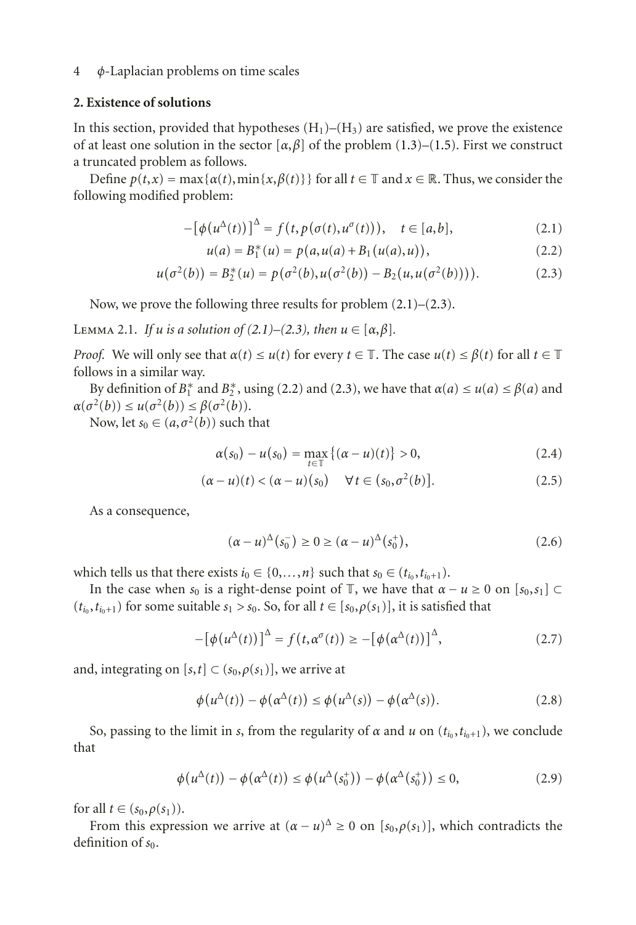## <span id="page-3-0"></span>**2. Existence of solutions**

In this section, provided that hypotheses  $(H_1)$ – $(H_3)$  are satisfied, we prove the existence of at least one solution in the sector  $[\alpha, \beta]$  of the problem [\(1.3\)](#page-1-0)–[\(1.5\)](#page-1-1). First we construct a truncated problem as follows.

Define  $p(t, x) = \max\{\alpha(t), \min\{x, \beta(t)\}\}\$ for all  $t \in \mathbb{T}$  and  $x \in \mathbb{R}$ . Thus, we consider the following modified problem:

$$
-[\phi(u^{\Delta}(t))]^{\Delta} = f(t, p(\sigma(t), u^{\sigma}(t))), \quad t \in [a, b],
$$
\n(2.1)

<span id="page-3-3"></span><span id="page-3-2"></span><span id="page-3-1"></span>
$$
u(a) = B_1^*(u) = p(a, u(a) + B_1(u(a), u)),
$$
\n(2.2)

$$
u(\sigma^{2}(b)) = B_{2}^{*}(u) = p(\sigma^{2}(b), u(\sigma^{2}(b)) - B_{2}(u, u(\sigma^{2}(b))))
$$
 (2.3)

Now, we prove the following three results for problem  $(2.1)$ – $(2.3)$ .

<span id="page-3-5"></span>LEMMA 2.1. *If u is a solution of*  $(2.1)–(2.3)$  $(2.1)–(2.3)$  $(2.1)–(2.3)$ *, then*  $u \in [\alpha, \beta]$ *.* 

*Proof.* We will only see that  $\alpha(t) \leq u(t)$  for every  $t \in \mathbb{T}$ . The case  $u(t) \leq \beta(t)$  for all  $t \in \mathbb{T}$ follows in a similar way.

By definition of  $B_1^*$  and  $B_2^*$ , using [\(2.2\)](#page-3-3) and [\(2.3\)](#page-3-2), we have that  $\alpha(a) \le u(a) \le \beta(a)$  and  $\tau^2(h) \le u(\sigma^2(h)) \le \beta(\sigma^2(h))$  $\alpha(\sigma^2(b)) \leq u(\sigma^2(b)) \leq \beta(\sigma^2(b)).$ 

Now, let  $s_0 \in (a, \sigma^2(b))$  such that

<span id="page-3-4"></span>
$$
\alpha(s_0) - u(s_0) = \max_{t \in \mathbb{T}} \left\{ (\alpha - u)(t) \right\} > 0,
$$
\n(2.4)

$$
(\alpha - u)(t) < (\alpha - u)(s_0) \quad \forall \, t \in (s_0, \sigma^2(b)). \tag{2.5}
$$

As a consequence,

$$
(\alpha - u)^{\Delta}(s_0^-) \ge 0 \ge (\alpha - u)^{\Delta}(s_0^+), \tag{2.6}
$$

which tells us that there exists  $i_0 \in \{0, \ldots, n\}$  such that  $s_0 \in (t_{i_0}, t_{i_0+1})$ .

In the case when  $s_0$  is a right-dense point of  $\mathbb{T}$ , we have that  $\alpha - u \geq 0$  on  $[s_0, s_1] \subset$  $(t_{i_0}, t_{i_0+1})$  for some suitable  $s_1 > s_0$ . So, for all  $t \in [s_0, \rho(s_1)]$ , it is satisfied that

$$
-[\phi(u^{\Delta}(t))]^{\Delta} = f(t, \alpha^{\sigma}(t)) \ge -[\phi(\alpha^{\Delta}(t))]^{\Delta}, \qquad (2.7)
$$

and, integrating on  $[s, t] \subset (s_0, \rho(s_1))$ , we arrive at

$$
\phi(u^{\Delta}(t)) - \phi(\alpha^{\Delta}(t)) \le \phi(u^{\Delta}(s)) - \phi(\alpha^{\Delta}(s)).
$$
\n(2.8)

So, passing to the limit in *s*, from the regularity of *α* and *u* on ( $t_{i_0}, t_{i_0+1}$ ), we conclude that

$$
\phi(u^{\Delta}(t)) - \phi(\alpha^{\Delta}(t)) \le \phi(u^{\Delta}(s_0^+)) - \phi(\alpha^{\Delta}(s_0^+)) \le 0,
$$
\n(2.9)

for all  $t \in (s_0, \rho(s_1)).$ 

From this expression we arrive at  $(\alpha - u)^{\Delta} \ge 0$  on  $[s_0, \rho(s_1)]$ , which contradicts the definition of  $s_0$ .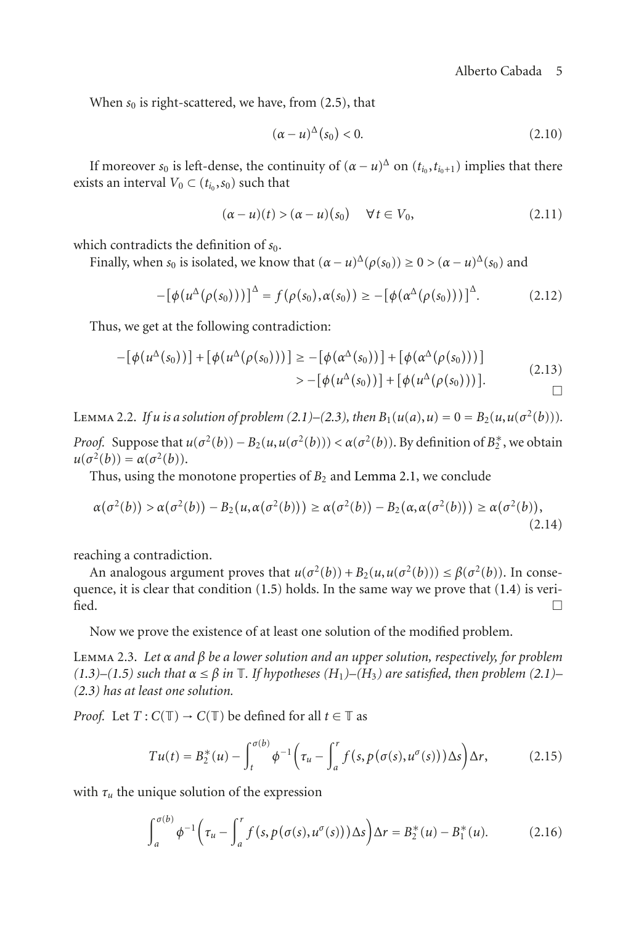When  $s_0$  is right-scattered, we have, from  $(2.5)$ , that

$$
(\alpha - u)^{\Delta}(s_0) < 0. \tag{2.10}
$$

If moreover  $s_0$  is left-dense, the continuity of  $(\alpha - u)^{\Delta}$  on  $(t_{i_0}, t_{i_0+1})$  implies that there exists an interval  $V_0 \subset (t_{i_0}, s_0)$  such that

$$
(\alpha - u)(t) > (\alpha - u)(s_0) \quad \forall t \in V_0,
$$
\n(2.11)

which contradicts the definition of  $s_0$ .

Finally, when  $s_0$  is isolated, we know that  $(\alpha - u)^{\Delta}(\rho(s_0)) \ge 0 > (\alpha - u)^{\Delta}(s_0)$  and

$$
-[\phi(u^{\Delta}(\rho(s_0))))^{\Delta} = f(\rho(s_0), \alpha(s_0)) \ge -[\phi(\alpha^{\Delta}(\rho(s_0))))^{\Delta}.
$$
 (2.12)

Thus, we get at the following contradiction:

$$
-[\phi(u^{\Delta}(s_0))] + [\phi(u^{\Delta}(\rho(s_0))))] \ge -[\phi(\alpha^{\Delta}(s_0))] + [\phi(\alpha^{\Delta}(\rho(s_0))))]
$$
  

$$
> -[\phi(u^{\Delta}(s_0))] + [\phi(u^{\Delta}(\rho(s_0)))].
$$
 (2.13)

LEMMA 2.2. *If u* is a solution of problem [\(2.1\)](#page-3-1)–[\(2.3\)](#page-3-2), then  $B_1(u(a), u) = 0 = B_2(u, u(\sigma^2(b)))$ . *Proof.* Suppose that  $u(\sigma^2(b)) - B_2(u, u(\sigma^2(b))) < \alpha(\sigma^2(b))$ . By definition of  $B_2^*$ , we obtain  $u(\sigma^2(b)) - \alpha(\sigma^2(b))$  $u(\sigma^2(b)) = \alpha(\sigma^2(b)).$ 

Thus, using the monotone properties of  $B_2$  and [Lemma 2.1,](#page-3-5) we conclude

$$
\alpha(\sigma^2(b)) > \alpha(\sigma^2(b)) - B_2(u, \alpha(\sigma^2(b))) \ge \alpha(\sigma^2(b)) - B_2(\alpha, \alpha(\sigma^2(b))) \ge \alpha(\sigma^2(b)),
$$
\n(2.14)

reaching a contradiction.

An analogous argument proves that  $u(\sigma^2(b)) + B_2(u, u(\sigma^2(b))) \leq \beta(\sigma^2(b))$ . In consequence, it is clear that condition  $(1.5)$  holds. In the same way we prove that  $(1.4)$  is veri- $\Box$ 

Now we prove the existence of at least one solution of the modified problem.

<span id="page-4-1"></span>Lemma 2.3. *Let α and β be a lower solution and an upper solution, respectively, for problem*  $(1.3)$ <sup> $-$ </sup> $(1.5)$  *such that*  $\alpha \leq \beta$  *in*  $\mathbb{T}$ *. If hypotheses*  $(H_1)$  $-(H_3)$  *are satisfied, then problem*  $(2.1)$ *[\(2.3\)](#page-3-2) has at least one solution.*

*Proof.* Let  $T: C(\mathbb{T}) \to C(\mathbb{T})$  be defined for all  $t \in \mathbb{T}$  as

$$
Tu(t) = B_2^*(u) - \int_t^{\sigma(b)} \phi^{-1} \left( \tau_u - \int_a^r f(s, p(\sigma(s), u^{\sigma}(s))) \Delta s \right) \Delta r,
$$
 (2.15)

with  $\tau_u$  the unique solution of the expression

<span id="page-4-0"></span>
$$
\int_{a}^{\sigma(b)} \phi^{-1} \left( \tau_u - \int_{a}^{r} f(s, p(\sigma(s), u^{\sigma}(s))) \Delta s \right) \Delta r = B_2^*(u) - B_1^*(u). \tag{2.16}
$$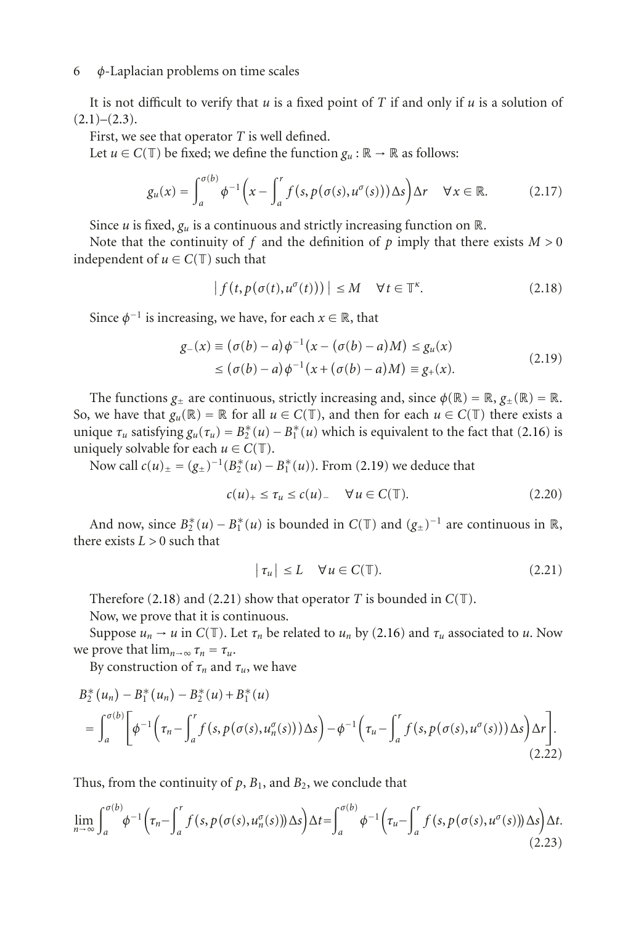It is not difficult to verify that *u* is a fixed point of *T* if and only if *u* is a solution of  $(2.1)–(2.3)$  $(2.1)–(2.3)$  $(2.1)–(2.3)$ .

First, we see that operator *T* is well defined.

Let  $u \in C(\mathbb{T})$  be fixed; we define the function  $g_u : \mathbb{R} \to \mathbb{R}$  as follows:

$$
g_u(x) = \int_a^{\sigma(b)} \phi^{-1}\left(x - \int_a^r f(s, p(\sigma(s), u^{\sigma}(s))) \Delta s\right) \Delta r \quad \forall x \in \mathbb{R}.
$$
 (2.17)

Since  $u$  is fixed,  $g_u$  is a continuous and strictly increasing function on  $\mathbb{R}$ .

Note that the continuity of  $f$  and the definition of  $p$  imply that there exists  $M > 0$ independent of  $u \in C(\mathbb{T})$  such that

<span id="page-5-1"></span><span id="page-5-0"></span>
$$
|f(t, p(\sigma(t), u^{\sigma}(t)))| \le M \quad \forall t \in \mathbb{T}^{\kappa}.
$$
 (2.18)

Since  $\phi^{-1}$  is increasing, we have, for each  $x \in \mathbb{R}$ , that

$$
g_{-}(x) \equiv (\sigma(b) - a)\phi^{-1}(x - (\sigma(b) - a)M) \le g_{u}(x)
$$
  
 
$$
\le (\sigma(b) - a)\phi^{-1}(x + (\sigma(b) - a)M) \equiv g_{+}(x).
$$
 (2.19)

The functions  $g_{\pm}$  are continuous, strictly increasing and, since  $\phi(\mathbb{R}) = \mathbb{R}, g_{\pm}(\mathbb{R}) = \mathbb{R}$ . So, we have that  $g_u(\mathbb{R}) = \mathbb{R}$  for all  $u \in C(\mathbb{T})$ , and then for each  $u \in C(\mathbb{T})$  there exists a unique  $\tau_u$  satisfying  $g_u(\tau_u) = B_2^*(u) - B_1^*(u)$  which is equivalent to the fact that [\(2.16\)](#page-4-0) is<br>uniquely solvable for each  $u \in C(\mathbb{T})$ uniquely solvable for each  $u \in C(\mathbb{T})$ .

Now call  $c(u)_\pm = (g_\pm)^{-1}(B_2^*(u) - B_1^*(u))$ . From [\(2.19\)](#page-5-0) we deduce that

$$
c(u)_+ \leq \tau_u \leq c(u)_- \quad \forall \, u \in C(\mathbb{T}). \tag{2.20}
$$

And now, since  $B_2^*(u) - B_1^*(u)$  is bounded in  $C(T)$  and  $(g_{\pm})^{-1}$  are continuous in  $\mathbb{R}$ , there exists  $L > 0$  such that

<span id="page-5-2"></span>
$$
|\tau_u| \le L \quad \forall u \in C(\mathbb{T}). \tag{2.21}
$$

Therefore [\(2.18\)](#page-5-1) and [\(2.21\)](#page-5-2) show that operator *T* is bounded in  $C(T)$ .

Now, we prove that it is continuous.

Suppose  $u_n \to u$  in  $C(\mathbb{T})$ . Let  $\tau_n$  be related to  $u_n$  by [\(2.16\)](#page-4-0) and  $\tau_u$  associated to  $u$ . Now we prove that  $\lim_{n\to\infty} \tau_n = \tau_u$ .

By construction of  $\tau_n$  and  $\tau_u$ , we have

$$
B_{2}^{*}(u_{n}) - B_{1}^{*}(u_{n}) - B_{2}^{*}(u) + B_{1}^{*}(u)
$$
\n
$$
= \int_{a}^{\sigma(b)} \left[ \phi^{-1} \left( \tau_{n} - \int_{a}^{r} f(s, p(\sigma(s), u_{n}^{\sigma}(s))) \Delta s \right) - \phi^{-1} \left( \tau_{u} - \int_{a}^{r} f(s, p(\sigma(s), u^{\sigma}(s))) \Delta s \right) \Delta r \right].
$$
\n(2.22)

Thus, from the continuity of  $p$ ,  $B_1$ , and  $B_2$ , we conclude that

$$
\lim_{n \to \infty} \int_{a}^{\sigma(b)} \phi^{-1} \left( \tau_n - \int_{a}^{r} f(s, p(\sigma(s), u_n^{\sigma}(s))) \Delta s \right) \Delta t = \int_{a}^{\sigma(b)} \phi^{-1} \left( \tau_u - \int_{a}^{r} f(s, p(\sigma(s), u^{\sigma}(s))) \Delta s \right) \Delta t.
$$
\n(2.23)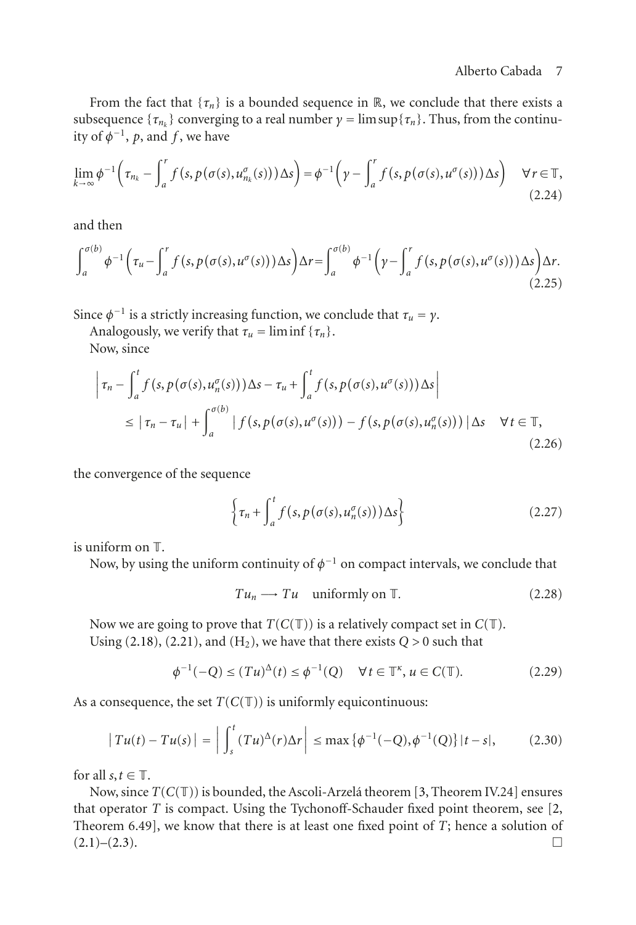From the fact that  $\{\tau_n\}$  is a bounded sequence in  $\mathbb R$ , we conclude that there exists a subsequence  $\{\tau_m\}$  converging to a real number  $\gamma = \limsup{\{\tau_n\}}$ . Thus, from the continuity of  $\phi^{-1}$ , *p*, and *f*, we have

$$
\lim_{k \to \infty} \phi^{-1} \left( \tau_{n_k} - \int_a^r f(s, p(\sigma(s), u_{n_k}^{\sigma}(s))) \Delta s \right) = \phi^{-1} \left( \gamma - \int_a^r f(s, p(\sigma(s), u^{\sigma}(s))) \Delta s \right) \quad \forall r \in \mathbb{T},
$$
\n(2.24)

and then

$$
\int_{a}^{\sigma(b)} \phi^{-1}\left(\tau_u - \int_{a}^{r} f(s, p(\sigma(s), u^{\sigma}(s))) \Delta s\right) \Delta r = \int_{a}^{\sigma(b)} \phi^{-1}\left(\gamma - \int_{a}^{r} f(s, p(\sigma(s), u^{\sigma}(s))) \Delta s\right) \Delta r.
$$
\n(2.25)

Since  $\phi^{-1}$  is a strictly increasing function, we conclude that  $\tau_u = \gamma$ .

Analogously, we verify that  $\tau_u = \liminf {\tau_n}$ .

Now, since

$$
\left|\tau_n - \int_a^t f(s, p(\sigma(s), u_n^{\sigma}(s))) \Delta s - \tau_u + \int_a^t f(s, p(\sigma(s), u^{\sigma}(s))) \Delta s\right|
$$
  
\n
$$
\leq |\tau_n - \tau_u| + \int_a^{\sigma(b)} |f(s, p(\sigma(s), u^{\sigma}(s))) - f(s, p(\sigma(s), u_n^{\sigma}(s)))| \Delta s \quad \forall t \in \mathbb{T},
$$
\n(2.26)

the convergence of the sequence

$$
\left\{\tau_n + \int_a^t f\left(s, p\left(\sigma(s), u_n^{\sigma}(s)\right)\right) \Delta s\right\} \tag{2.27}
$$

is uniform on T.

Now, by using the uniform continuity of  $\phi^{-1}$  on compact intervals, we conclude that

$$
Tu_n \longrightarrow Tu \quad \text{uniformly on } \mathbb{T}.\tag{2.28}
$$

Now we are going to prove that  $T(C(T))$  is a relatively compact set in  $C(T)$ . Using [\(2.18\)](#page-5-1), [\(2.21\)](#page-5-2), and ( $H_2$ ), we have that there exists  $Q > 0$  such that

$$
\phi^{-1}(-Q) \le (Tu)^{\Delta}(t) \le \phi^{-1}(Q) \quad \forall t \in \mathbb{T}^{\kappa}, u \in C(\mathbb{T}).
$$
 (2.29)

As a consequence, the set  $T(C(T))$  is uniformly equicontinuous:

$$
|Tu(t) - Tu(s)| = \left| \int_{s}^{t} (Tu)^{\Delta}(r) \Delta r \right| \le \max\{\phi^{-1}(-Q), \phi^{-1}(Q)\} |t - s|,
$$
 (2.30)

for all  $s, t \in \mathbb{T}$ .

Now, since  $T(C(T))$  is bounded, the Ascoli-Arzela theorem [[3](#page-9-9), Theorem IV.24] ensures that operator *T* is compact. Using the Tychonoff-Schauder fixed point theorem, see [\[2,](#page-9-3) Theorem 6.49], we know that there is at least one fixed point of *T*; hence a solution of  $(2.1)$ – $(2.3)$ .  $(2.1)–(2.3)$  $(2.1)–(2.3)$  $(2.1)–(2.3)$ .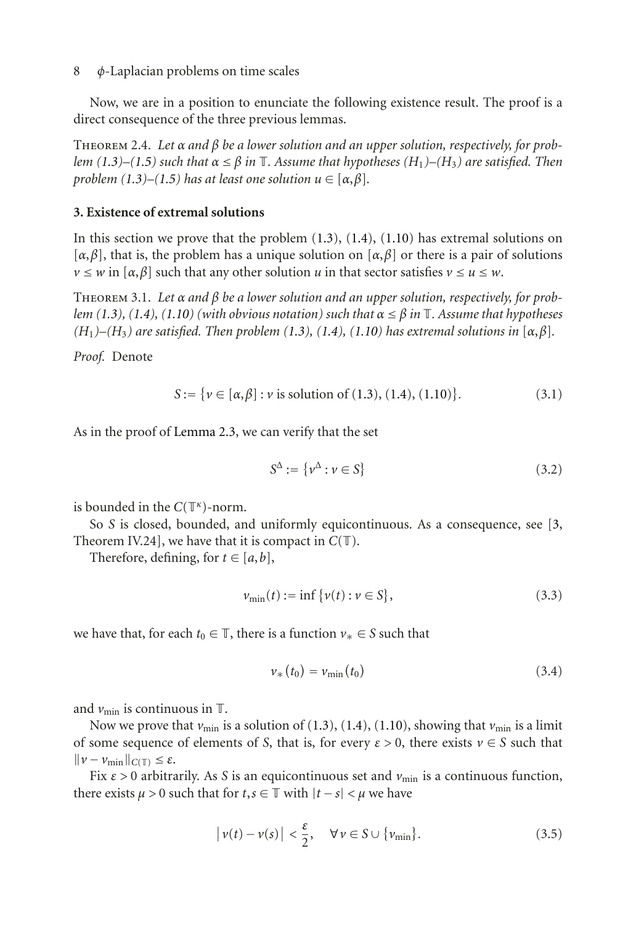<span id="page-7-1"></span>Now, we are in a position to enunciate the following existence result. The proof is a direct consequence of the three previous lemmas.

Theorem 2.4. *Let α and β be a lower solution and an upper solution, respectively, for problem [\(1.3\)](#page-1-0)–[\(1.5\)](#page-1-1) such that α* <sup>≤</sup> *<sup>β</sup> in* <sup>T</sup>*. Assume that hypotheses (H*1*)–(H*3*) are satisfied. Then problem*  $(1.3)$ – $(1.5)$  *has at least one solution*  $u \in [\alpha, \beta]$ *.* 

## <span id="page-7-0"></span>**3. Existence of extremal solutions**

In this section we prove that the problem  $(1.3)$ ,  $(1.4)$ ,  $(1.10)$  has extremal solutions on [*α*,*β*], that is, the problem has a unique solution on [*α*,*β*] or there is a pair of solutions  $\nu \leq w$  in  $[\alpha, \beta]$  such that any other solution *u* in that sector satisfies  $\nu \leq u \leq w$ .

Theorem 3.1. *Let α and β be a lower solution and an upper solution, respectively, for problem* [\(1.3\)](#page-1-0), [\(1.4\)](#page-1-2), [\(1.10\)](#page-2-0) (with obvious notation) such that  $\alpha \leq \beta$  in  $\mathbb{T}$ . Assume that hypotheses  $(H_1)$ – $(H_3)$  are satisfied. Then problem [\(1.3\)](#page-1-0), [\(1.4\)](#page-1-2), [\(1.10\)](#page-2-0) has extremal solutions in  $[\alpha, \beta]$ .

*Proof.* Denote

$$
S := \{ v \in [\alpha, \beta] : v \text{ is solution of } (1.3), (1.4), (1.10) \}. \tag{3.1}
$$

As in the proof of [Lemma 2.3,](#page-4-1) we can verify that the set

$$
S^{\Delta} := \{ \nu^{\Delta} : \nu \in S \}
$$
\n
$$
(3.2)
$$

is bounded in the *<sup>C</sup>*(T*κ*)-norm.

So *S* is closed, bounded, and uniformly equicontinuous. As a consequence, see [\[3,](#page-9-9) Theorem IV.24], we have that it is compact in  $C(\mathbb{T})$ .

Therefore, defining, for  $t \in [a, b]$ ,

$$
v_{\min}(t) := \inf \{ v(t) : v \in S \},
$$
\n(3.3)

we have that, for each  $t_0 \in \mathbb{T}$ , there is a function  $v_* \in S$  such that

<span id="page-7-2"></span>
$$
\nu_{*}(t_{0}) = \nu_{\min}(t_{0}) \qquad (3.4)
$$

and  $v_{\text{min}}$  is continuous in  $\mathbb{T}$ .

Now we prove that  $v_{\text{min}}$  is a solution of [\(1.3\)](#page-1-0), [\(1.4\)](#page-1-2), [\(1.10\)](#page-2-0), showing that  $v_{\text{min}}$  is a limit of some sequence of elements of *S*, that is, for every  $\varepsilon > 0$ , there exists  $v \in S$  such that  $\|\nu - \nu_{\min}\|_{C(\mathbb{T})} \leq \varepsilon.$ 

Fix  $\varepsilon > 0$  arbitrarily. As *S* is an equicontinuous set and  $v_{\text{min}}$  is a continuous function, there exists  $\mu > 0$  such that for  $t, s \in \mathbb{T}$  with  $|t - s| < \mu$  we have

$$
|\nu(t) - \nu(s)| < \frac{\varepsilon}{2}, \quad \forall \nu \in S \cup \{\nu_{\min}\}.\tag{3.5}
$$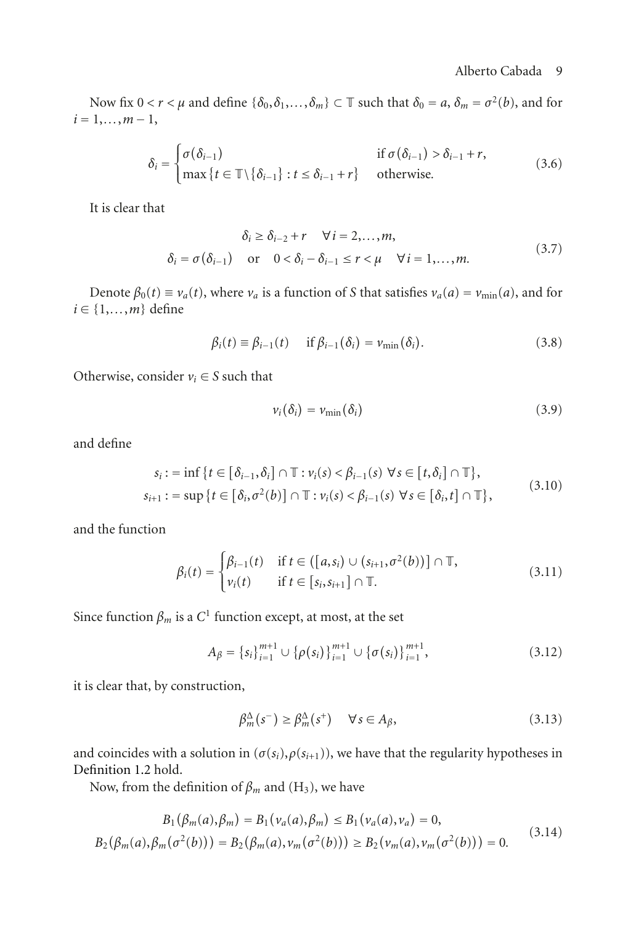Now fix  $0 < r < \mu$  and define  $\{\delta_0, \delta_1, \ldots, \delta_m\} \subset \mathbb{T}$  such that  $\delta_0 = a, \delta_m = \sigma^2(b)$ , and for  $i = 1, \ldots, m - 1,$ 

$$
\delta_{i} = \begin{cases}\n\sigma(\delta_{i-1}) & \text{if } \sigma(\delta_{i-1}) > \delta_{i-1} + r, \\
\max\{t \in \mathbb{T} \setminus \{\delta_{i-1}\} : t \leq \delta_{i-1} + r\} & \text{otherwise.} \n\end{cases}
$$
\n(3.6)

It is clear that

$$
\delta_i \geq \delta_{i-2} + r \quad \forall i = 2,...,m,
$$
  
\n
$$
\delta_i = \sigma(\delta_{i-1}) \quad \text{or} \quad 0 < \delta_i - \delta_{i-1} \leq r < \mu \quad \forall i = 1,...,m.
$$
\n(3.7)

Denote  $\beta_0(t) \equiv v_a(t)$ , where  $v_a$  is a function of *S* that satisfies  $v_a(a) = v_{\min}(a)$ , and for  $i \in \{1, \ldots, m\}$  define

$$
\beta_i(t) \equiv \beta_{i-1}(t) \quad \text{if } \beta_{i-1}(\delta_i) = \nu_{\min}(\delta_i). \tag{3.8}
$$

Otherwise, consider  $v_i \in S$  such that

$$
v_i(\delta_i) = v_{\min}(\delta_i) \tag{3.9}
$$

and define

$$
s_i := \inf \{ t \in [\delta_{i-1}, \delta_i] \cap \mathbb{T} : v_i(s) < \beta_{i-1}(s) \; \forall s \in [t, \delta_i] \cap \mathbb{T} \},
$$
\n
$$
s_{i+1} := \sup \{ t \in [\delta_i, \sigma^2(b)] \cap \mathbb{T} : v_i(s) < \beta_{i-1}(s) \; \forall s \in [\delta_i, t] \cap \mathbb{T} \},
$$
\n
$$
(3.10)
$$

and the function

$$
\beta_i(t) = \begin{cases} \beta_{i-1}(t) & \text{if } t \in (\llbracket a, s_i \rrbracket) \cup (s_{i+1}, \sigma^2(b)) \rrbracket \cap \mathbb{T}, \\ \nu_i(t) & \text{if } t \in \llbracket s_i, s_{i+1} \rrbracket \cap \mathbb{T}. \end{cases} \tag{3.11}
$$

Since function  $\beta_m$  is a  $C^1$  function except, at most, at the set

$$
A_{\beta} = \{s_i\}_{i=1}^{m+1} \cup \{\rho(s_i)\}_{i=1}^{m+1} \cup \{\sigma(s_i)\}_{i=1}^{m+1},
$$
\n(3.12)

it is clear that, by construction,

$$
\beta_m^{\Delta}(s^-) \ge \beta_m^{\Delta}(s^+) \quad \forall s \in A_{\beta}, \tag{3.13}
$$

and coincides with a solution in  $(\sigma(s_i), \rho(s_{i+1}))$ , we have that the regularity hypotheses in [Definition 1.2](#page-2-1) hold.

Now, from the definition of  $\beta_m$  and (H<sub>3</sub>), we have

$$
B_1(\beta_m(a), \beta_m) = B_1(\nu_a(a), \beta_m) \le B_1(\nu_a(a), \nu_a) = 0,
$$
  
\n
$$
B_2(\beta_m(a), \beta_m(\sigma^2(b))) = B_2(\beta_m(a), \nu_m(\sigma^2(b))) \ge B_2(\nu_m(a), \nu_m(\sigma^2(b))) = 0.
$$
\n(3.14)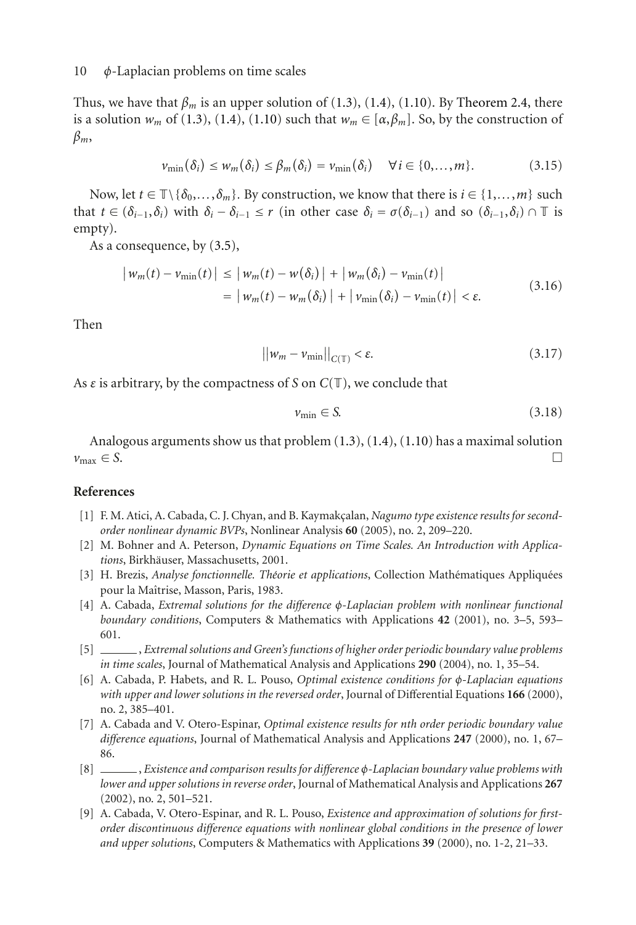Thus, we have that  $\beta_m$  is an upper solution of [\(1.3\)](#page-1-0), [\(1.4\)](#page-1-2), [\(1.10\)](#page-2-0). By [Theorem 2.4,](#page-7-1) there is a solution  $w_m$  of [\(1.3\)](#page-1-0), [\(1.4\)](#page-1-2), [\(1.10\)](#page-2-0) such that  $w_m \in [\alpha, \beta_m]$ . So, by the construction of *βm*,

$$
\nu_{\min}(\delta_i) \leq w_m(\delta_i) \leq \beta_m(\delta_i) = \nu_{\min}(\delta_i) \quad \forall i \in \{0, \dots, m\}.
$$
 (3.15)

Now, let  $t \in \mathbb{T} \setminus \{\delta_0, \ldots, \delta_m\}$ . By construction, we know that there is  $i \in \{1, \ldots, m\}$  such that  $t \in (\delta_{i-1}, \delta_i)$  with  $\delta_i - \delta_{i-1} \leq r$  (in other case  $\delta_i = \sigma(\delta_{i-1})$  and so  $(\delta_{i-1}, \delta_i) \cap \mathbb{T}$  is empty).

As a consequence, by [\(3.5\)](#page-7-2),

$$
\begin{aligned} \left| \, w_m(t) - v_{\min}(t) \, \right| &\leq \left| \, w_m(t) - w(\delta_i) \, \right| + \left| \, w_m(\delta_i) - v_{\min}(t) \, \right| \\ &= \left| \, w_m(t) - w_m(\delta_i) \, \right| + \left| \, v_{\min}(\delta_i) - v_{\min}(t) \, \right| < \varepsilon. \end{aligned} \tag{3.16}
$$

Then

$$
||w_m - v_{\min}||_{C(\mathbb{T})} < \varepsilon. \tag{3.17}
$$

As *<sup>ε</sup>* is arbitrary, by the compactness of *<sup>S</sup>* on *<sup>C</sup>*(T), we conclude that

$$
\nu_{\min} \in S. \tag{3.18}
$$

Analogous arguments show us that problem [\(1.3\)](#page-1-0), [\(1.4\)](#page-1-2), [\(1.10\)](#page-2-0) has a maximal solution  $v_{\text{max}} \in S$ .

### <span id="page-9-6"></span><span id="page-9-4"></span>**References**

- [1] F. M. Atici, A. Cabada, C. J. Chyan, and B. Kaymakçalan, *Nagumo type existence results for secondorder nonlinear dynamic BVPs*, Nonlinear Analysis **60** (2005), no. 2, 209–220.
- <span id="page-9-3"></span>[2] M. Bohner and A. Peterson, *Dynamic Equations on Time Scales. An Introduction with Applica* $tions$ , Birkhäuser, Massachusetts, 2001.
- <span id="page-9-9"></span>[3] H. Brezis, *Analyse fonctionnelle. Théorie et applications*, Collection Mathématiques Appliquées pour la Maîtrise, Masson, Paris, 1983.
- <span id="page-9-2"></span>[4] A. Cabada, *Extremal solutions for the difference φ-Laplacian problem with nonlinear functional boundary conditions*, Computers & Mathematics with Applications **42** (2001), no. 3–5, 593– 601.
- <span id="page-9-5"></span>[5] , *Extremal solutions and Green's functions of higher order periodic boundary value problems in time scales*, Journal of Mathematical Analysis and Applications **290** (2004), no. 1, 35–54.
- <span id="page-9-7"></span>[6] A. Cabada, P. Habets, and R. L. Pouso, *Optimal existence conditions for φ-Laplacian equations with upper and lower solutions in the reversed order*, Journal of Differential Equations **166** (2000), no. 2, 385–401.
- <span id="page-9-0"></span>[7] A. Cabada and V. Otero-Espinar, *Optimal existence results for nth order periodic boundary value difference equations*, Journal of Mathematical Analysis and Applications **247** (2000), no. 1, 67– 86.
- <span id="page-9-8"></span>[8] , *Existence and comparison results for difference <sup>φ</sup>-Laplacian boundary value problems with lower and upper solutions in reverse order*, Journal of Mathematical Analysis and Applications **267** (2002), no. 2, 501–521.
- <span id="page-9-1"></span>[9] A. Cabada, V. Otero-Espinar, and R. L. Pouso, *Existence and approximation of solutions for firstorder discontinuous difference equations with nonlinear global conditions in the presence of lower and upper solutions*, Computers & Mathematics with Applications **39** (2000), no. 1-2, 21–33.